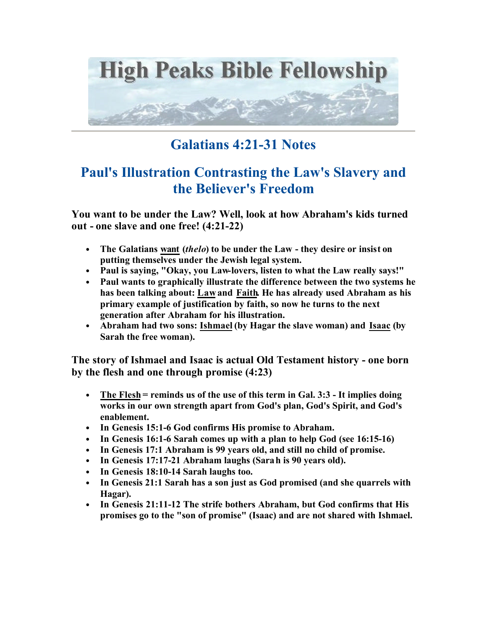

## **Galatians 4:21-31 Notes**

## **Paul's Illustration Contrasting the Law's Slavery and the Believer's Freedom**

**You want to be under the Law? Well, look at how Abraham's kids turned out - one slave and one free! (4:21-22)**

- **The Galatians want (***thelo***) to be under the Law they desire or insist on putting themselves under the Jewish legal system.**
- **Paul is saying, "Okay, you Law-lovers, listen to what the Law really says!"**
- **Paul wants to graphically illustrate the difference between the two systems he has been talking about: Law and Faith. He has already used Abraham as his primary example of justification by faith, so now he turns to the next generation after Abraham for his illustration.**
- **Abraham had two sons: Ishmael (by Hagar the slave woman) and Isaac (by Sarah the free woman).**

**The story of Ishmael and Isaac is actual Old Testament history - one born by the flesh and one through promise (4:23)**

- **The Flesh = reminds us of the use of this term in Gal. 3:3 It implies doing works in our own strength apart from God's plan, God's Spirit, and God's enablement.**
- **In Genesis 15:1-6 God confirms His promise to Abraham.**
- **In Genesis 16:1-6 Sarah comes up with a plan to help God (see 16:15-16)**
- **In Genesis 17:1 Abraham is 99 years old, and still no child of promise.**
- **In Genesis 17:17-21 Abraham laughs (Sarah is 90 years old).**
- **In Genesis 18:10-14 Sarah laughs too.**
- **In Genesis 21:1 Sarah has a son just as God promised (and she quarrels with Hagar).**
- **In Genesis 21:11-12 The strife bothers Abraham, but God confirms that His promises go to the "son of promise" (Isaac) and are not shared with Ishmael.**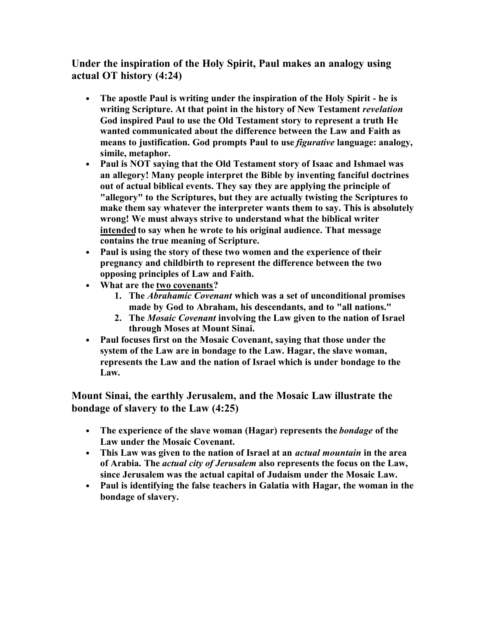**Under the inspiration of the Holy Spirit, Paul makes an analogy using actual OT history (4:24)**

- **The apostle Paul is writing under the inspiration of the Holy Spirit he is writing Scripture. At that point in the history of New Testament** *revelation* **God inspired Paul to use the Old Testament story to represent a truth He wanted communicated about the difference between the Law and Faith as means to justification. God prompts Paul to use** *figurative* **language: analogy, simile, metaphor.**
- **Paul is NOT saying that the Old Testament story of Isaac and Ishmael was an allegory! Many people interpret the Bible by inventing fanciful doctrines out of actual biblical events. They say they are applying the principle of "allegory" to the Scriptures, but they are actually twisting the Scriptures to make them say whatever the interpreter wants them to say. This is absolutely wrong! We must always strive to understand what the biblical writer intended to say when he wrote to his original audience. That message contains the true meaning of Scripture.**
- **Paul is using the story of these two women and the experience of their pregnancy and childbirth to represent the difference between the two opposing principles of Law and Faith.**
- **What are the two covenants?** 
	- **1. The** *Abrahamic Covenant* **which was a set of unconditional promises made by God to Abraham, his descendants, and to "all nations."**
	- **2. The** *Mosaic Covenant* **involving the Law given to the nation of Israel through Moses at Mount Sinai.**
- **Paul focuses first on the Mosaic Covenant, saying that those under the system of the Law are in bondage to the Law. Hagar, the slave woman, represents the Law and the nation of Israel which is under bondage to the Law.**

**Mount Sinai, the earthly Jerusalem, and the Mosaic Law illustrate the bondage of slavery to the Law (4:25)**

- **The experience of the slave woman (Hagar) represents the** *bondage* **of the Law under the Mosaic Covenant.**
- **This Law was given to the nation of Israel at an** *actual mountain* **in the area of Arabia. The** *actual city of Jerusalem* **also represents the focus on the Law, since Jerusalem was the actual capital of Judaism under the Mosaic Law.**
- **Paul is identifying the false teachers in Galatia with Hagar, the woman in the bondage of slavery.**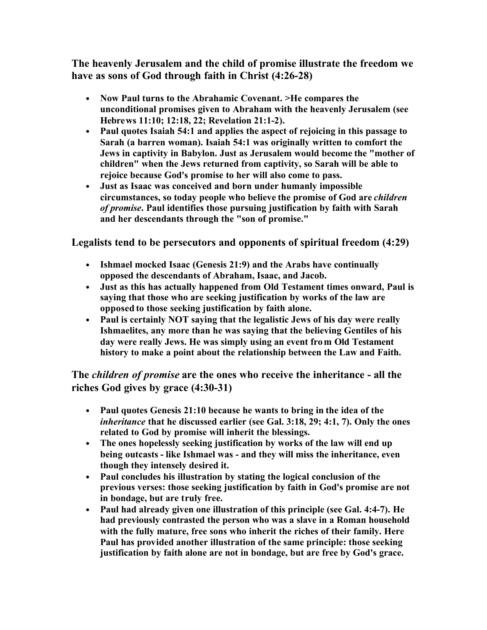**The heavenly Jerusalem and the child of promise illustrate the freedom we have as sons of God through faith in Christ (4:26-28)**

- **Now Paul turns to the Abrahamic Covenant. >He compares the unconditional promises given to Abraham with the heavenly Jerusalem (see Hebrews 11:10; 12:18, 22; Revelation 21:1-2).**
- **Paul quotes Isaiah 54:1 and applies the aspect of rejoicing in this passage to Sarah (a barren woman). Isaiah 54:1 was originally written to comfort the Jews in captivity in Babylon. Just as Jerusalem would become the "mother of children" when the Jews returned from captivity, so Sarah will be able to rejoice because God's promise to her will also come to pass.**
- **Just as Isaac was conceived and born under humanly impossible circumstances, so today people who believe the promise of God are** *children of promise***. Paul identifies those pursuing justification by faith with Sarah and her descendants through the "son of promise."**

**Legalists tend to be persecutors and opponents of spiritual freedom (4:29)**

- **Ishmael mocked Isaac (Genesis 21:9) and the Arabs have continually opposed the descendants of Abraham, Isaac, and Jacob.**
- **Just as this has actually happened from Old Testament times onward, Paul is saying that those who are seeking justification by works of the law are opposed to those seeking justification by faith alone.**
- **Paul is certainly NOT saying that the legalistic Jews of his day were really Ishmaelites, any more than he was saying that the believing Gentiles of his day were really Jews. He was simply using an event from Old Testament history to make a point about the relationship between the Law and Faith.**

**The** *children of promise* **are the ones who receive the inheritance - all the riches God gives by grace (4:30-31)**

- **Paul quotes Genesis 21:10 because he wants to bring in the idea of the**  *inheritance* **that he discussed earlier (see Gal. 3:18, 29; 4:1, 7). Only the ones related to God by promise will inherit the blessings.**
- **The ones hopelessly seeking justification by works of the law will end up being outcasts - like Ishmael was - and they will miss the inheritance, even though they intensely desired it.**
- **Paul concludes his illustration by stating the logical conclusion of the previous verses: those seeking justification by faith in God's promise are not in bondage, but are truly free.**
- **Paul had already given one illustration of this principle (see Gal. 4:4-7). He had previously contrasted the person who was a slave in a Roman household with the fully mature, free sons who inherit the riches of their family. Here Paul has provided another illustration of the same principle: those seeking justification by faith alone are not in bondage, but are free by God's grace.**